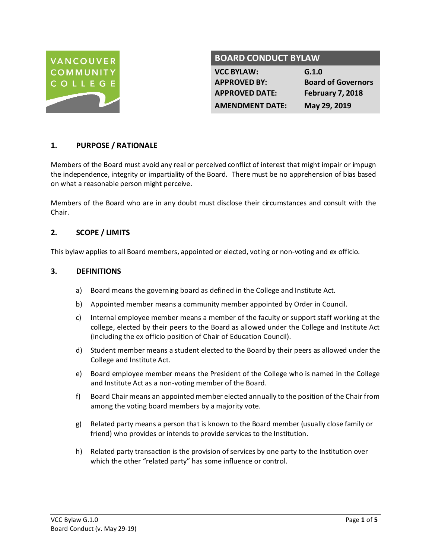

# **BOARD CONDUCT BYLAW**

**VCC BYLAW: G.1.0 APPROVED BY: Board of Governors APPROVED DATE: February 7, 2018 AMENDMENT DATE: May 29, 2019**

### **1. PURPOSE / RATIONALE**

Members of the Board must avoid any real or perceived conflict of interest that might impair or impugn the independence, integrity or impartiality of the Board. There must be no apprehension of bias based on what a reasonable person might perceive.

Members of the Board who are in any doubt must disclose their circumstances and consult with the Chair.

### **2. SCOPE / LIMITS**

This bylaw applies to all Board members, appointed or elected, voting or non-voting and ex officio.

#### **3. DEFINITIONS**

- a) Board means the governing board as defined in the College and Institute Act.
- b) Appointed member means a community member appointed by Order in Council.
- c) Internal employee member means a member of the faculty or support staff working at the college, elected by their peers to the Board as allowed under the College and Institute Act (including the ex officio position of Chair of Education Council).
- d) Student member means a student elected to the Board by their peers as allowed under the College and Institute Act.
- e) Board employee member means the President of the College who is named in the College and Institute Act as a non-voting member of the Board.
- f) Board Chair means an appointed member elected annually to the position of the Chair from among the voting board members by a majority vote.
- g) Related party means a person that is known to the Board member (usually close family or friend) who provides or intends to provide services to the Institution.
- h) Related party transaction is the provision of services by one party to the Institution over which the other "related party" has some influence or control.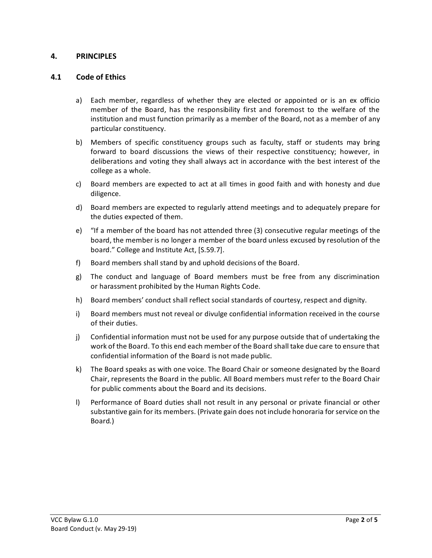#### **4. PRINCIPLES**

#### **4.1 Code of Ethics**

- a) Each member, regardless of whether they are elected or appointed or is an ex officio member of the Board, has the responsibility first and foremost to the welfare of the institution and must function primarily as a member of the Board, not as a member of any particular constituency.
- b) Members of specific constituency groups such as faculty, staff or students may bring forward to board discussions the views of their respective constituency; however, in deliberations and voting they shall always act in accordance with the best interest of the college as a whole.
- c) Board members are expected to act at all times in good faith and with honesty and due diligence.
- d) Board members are expected to regularly attend meetings and to adequately prepare for the duties expected of them.
- e) "If a member of the board has not attended three (3) consecutive regular meetings of the board, the member is no longer a member of the board unless excused by resolution of the board." College and Institute Act, [S.59.7].
- f) Board members shall stand by and uphold decisions of the Board.
- g) The conduct and language of Board members must be free from any discrimination or harassment prohibited by the Human Rights Code.
- h) Board members' conduct shall reflect social standards of courtesy, respect and dignity.
- i) Board members must not reveal or divulge confidential information received in the course of their duties.
- j) Confidential information must not be used for any purpose outside that of undertaking the work of the Board. To this end each member of the Board shall take due care to ensure that confidential information of the Board is not made public.
- k) The Board speaks as with one voice. The Board Chair or someone designated by the Board Chair, represents the Board in the public. All Board members must refer to the Board Chair for public comments about the Board and its decisions.
- l) Performance of Board duties shall not result in any personal or private financial or other substantive gain for its members. (Private gain does not include honoraria for service on the Board.)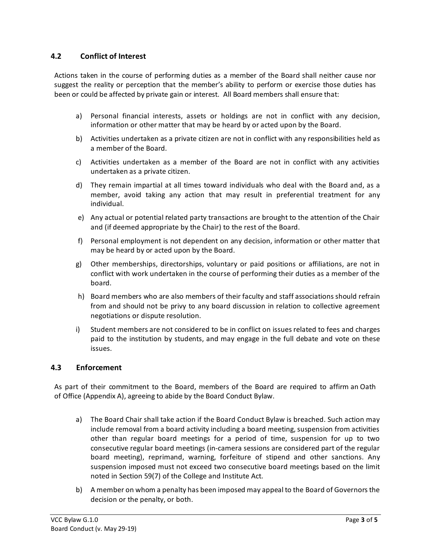### **4.2 Conflict of Interest**

Actions taken in the course of performing duties as a member of the Board shall neither cause nor suggest the reality or perception that the member's ability to perform or exercise those duties has been or could be affected by private gain or interest. All Board members shall ensure that:

- a) Personal financial interests, assets or holdings are not in conflict with any decision, information or other matter that may be heard by or acted upon by the Board.
- b) Activities undertaken as a private citizen are not in conflict with any responsibilities held as a member of the Board.
- c) Activities undertaken as a member of the Board are not in conflict with any activities undertaken as a private citizen.
- d) They remain impartial at all times toward individuals who deal with the Board and, as a member, avoid taking any action that may result in preferential treatment for any individual.
- e) Any actual or potential related party transactions are brought to the attention of the Chair and (if deemed appropriate by the Chair) to the rest of the Board.
- f) Personal employment is not dependent on any decision, information or other matter that may be heard by or acted upon by the Board.
- g) Other memberships, directorships, voluntary or paid positions or affiliations, are not in conflict with work undertaken in the course of performing their duties as a member of the board.
- h) Board members who are also members of their faculty and staff associations should refrain from and should not be privy to any board discussion in relation to collective agreement negotiations or dispute resolution.
- i) Student members are not considered to be in conflict on issues related to fees and charges paid to the institution by students, and may engage in the full debate and vote on these issues.

#### **4.3 Enforcement**

As part of their commitment to the Board, members of the Board are required to affirm an Oath of Office (Appendix A), agreeing to abide by the Board Conduct Bylaw.

- a) The Board Chair shall take action if the Board Conduct Bylaw is breached. Such action may include removal from a board activity including a board meeting, suspension from activities other than regular board meetings for a period of time, suspension for up to two consecutive regular board meetings (in-camera sessions are considered part of the regular board meeting), reprimand, warning, forfeiture of stipend and other sanctions. Any suspension imposed must not exceed two consecutive board meetings based on the limit noted in Section 59(7) of the College and Institute Act.
- b) A member on whom a penalty has been imposed may appeal to the Board of Governors the decision or the penalty, or both.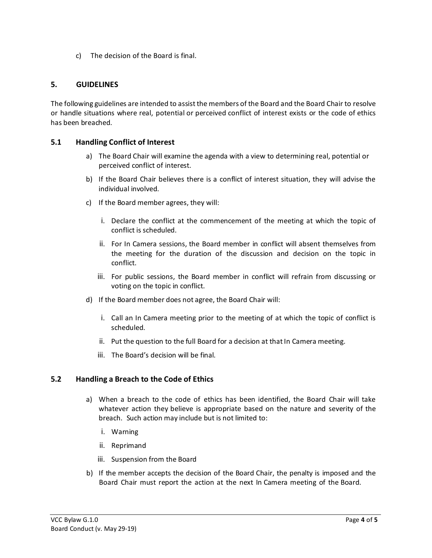c) The decision of the Board is final.

#### **5. GUIDELINES**

The following guidelines are intended to assist the members of the Board and the Board Chair to resolve or handle situations where real, potential or perceived conflict of interest exists or the code of ethics has been breached.

#### **5.1 Handling Conflict of Interest**

- a) The Board Chair will examine the agenda with a view to determining real, potential or perceived conflict of interest.
- b) If the Board Chair believes there is a conflict of interest situation, they will advise the individual involved.
- c) If the Board member agrees, they will:
	- i. Declare the conflict at the commencement of the meeting at which the topic of conflict is scheduled.
	- ii. For In Camera sessions, the Board member in conflict will absent themselves from the meeting for the duration of the discussion and decision on the topic in conflict.
	- iii. For public sessions, the Board member in conflict will refrain from discussing or voting on the topic in conflict.
- d) If the Board member does not agree, the Board Chair will:
	- i. Call an In Camera meeting prior to the meeting of at which the topic of conflict is scheduled.
	- ii. Put the question to the full Board for a decision at that In Camera meeting.
	- iii. The Board's decision will be final.

#### **5.2 Handling a Breach to the Code of Ethics**

- a) When a breach to the code of ethics has been identified, the Board Chair will take whatever action they believe is appropriate based on the nature and severity of the breach. Such action may include but is not limited to:
	- i. Warning
	- ii. Reprimand
	- iii. Suspension from the Board
- b) If the member accepts the decision of the Board Chair, the penalty is imposed and the Board Chair must report the action at the next In Camera meeting of the Board.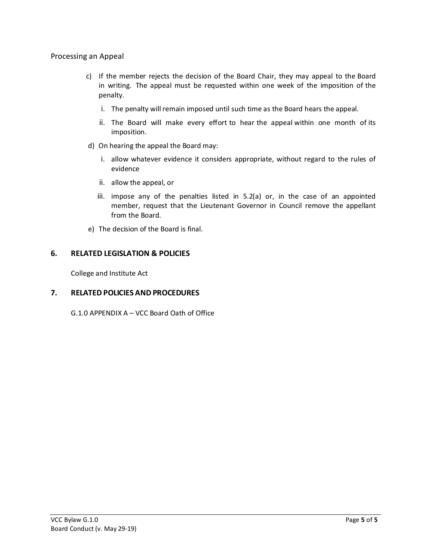#### Processing an Appeal

- c) If the member rejects the decision of the Board Chair, they may appeal to the Board in writing. The appeal must be requested within one week of the imposition of the penalty.
	- i. The penalty will remain imposed until such time as the Board hears the appeal.
	- ii. The Board will make every effort to hear the appeal within one month of its imposition.
- d) On hearing the appeal the Board may:
	- i. allow whatever evidence it considers appropriate, without regard to the rules of evidence
	- ii. allow the appeal, or
	- iii. impose any of the penalties listed in 5.2(a) or, in the case of an appointed member, request that the Lieutenant Governor in Council remove the appellant from the Board.
- e) The decision of the Board is final.

#### **6. RELATED LEGISLATION & POLICIES**

College and Institute Act

#### **7. RELATED POLICIES AND PROCEDURES**

G.1.0 APPENDIX A – VCC Board Oath of Office